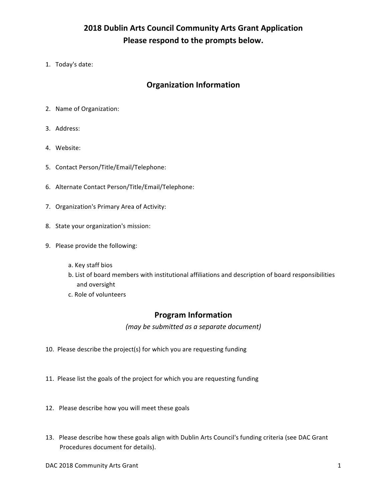# **2018 Dublin Arts Council Community Arts Grant Application** Please respond to the prompts below.

1. Today's date:

## **Organization Information**

- 2. Name of Organization:
- 3. Address:
- 4. Website:
- 5. Contact Person/Title/Email/Telephone:
- 6. Alternate Contact Person/Title/Email/Telephone:
- 7. Organization's Primary Area of Activity:
- 8. State your organization's mission:
- 9. Please provide the following:
	- a. Key staff bios
	- b. List of board members with institutional affiliations and description of board responsibilities and oversight
	- c. Role of volunteers

#### **Program Information**

*(may be submitted as a separate document)*

- 10. Please describe the project(s) for which you are requesting funding
- 11. Please list the goals of the project for which you are requesting funding
- 12. Please describe how you will meet these goals
- 13. Please describe how these goals align with Dublin Arts Council's funding criteria (see DAC Grant Procedures document for details).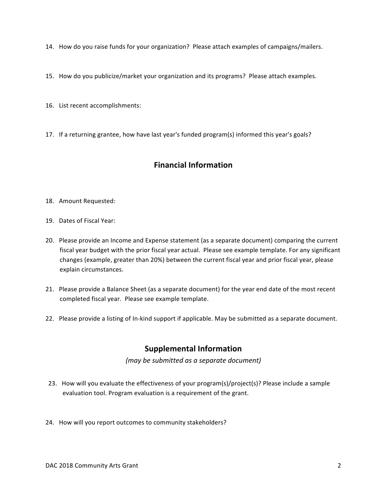14. How do you raise funds for your organization? Please attach examples of campaigns/mailers.

15. How do you publicize/market your organization and its programs? Please attach examples.

16. List recent accomplishments:

17. If a returning grantee, how have last year's funded program(s) informed this year's goals?

## **Financial Information**

#### 18. Amount Requested:

- 19. Dates of Fiscal Year:
- 20. Please provide an Income and Expense statement (as a separate document) comparing the current fiscal year budget with the prior fiscal year actual. Please see example template. For any significant changes (example, greater than 20%) between the current fiscal year and prior fiscal year, please explain circumstances.
- 21. Please provide a Balance Sheet (as a separate document) for the year end date of the most recent completed fiscal year. Please see example template.
- 22. Please provide a listing of In-kind support if applicable. May be submitted as a separate document.

## **Supplemental Information**

*(may be submitted as a separate document)*

- 23. How will you evaluate the effectiveness of your program(s)/project(s)? Please include a sample evaluation tool. Program evaluation is a requirement of the grant.
- 24. How will you report outcomes to community stakeholders?